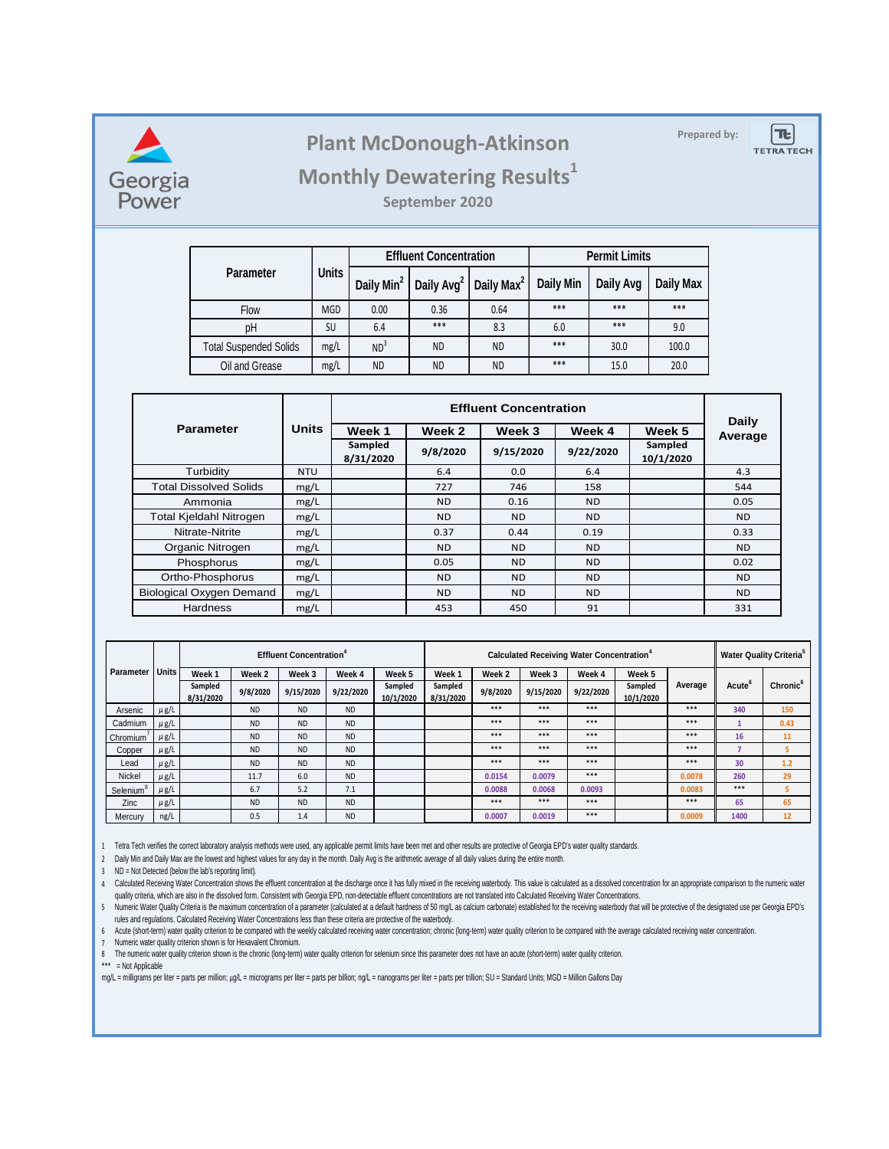

## **Prepared by: Plant McDonough-Atkinson**

**TE TETRA TECH** 

## **Monthly Dewatering Results<sup>1</sup>**

**September 2020**

|                               | <b>Units</b> |                        | <b>Effluent Concentration</b> |                        | <b>Permit Limits</b> |           |           |  |
|-------------------------------|--------------|------------------------|-------------------------------|------------------------|----------------------|-----------|-----------|--|
| <b>Parameter</b>              |              | Daily Min <sup>2</sup> | Daily Avg <sup>2</sup>        | Daily Max <sup>2</sup> | <b>Daily Min</b>     | Daily Avg | Daily Max |  |
| Flow                          | <b>MGD</b>   | 0.00                   | 0.36                          | 0.64                   | $***$                | ***       | ***       |  |
| рH<br>SU                      |              | 6.4                    | ***                           | 8.3                    | 6.0                  | ***       | 9.0       |  |
| <b>Total Suspended Solids</b> | mg/L         | ND <sup>3</sup>        | <b>ND</b>                     | <b>ND</b>              | $***$                | 30.0      | 100.0     |  |
| Oil and Grease                | mg/L         | <b>ND</b>              | <b>ND</b>                     | <b>ND</b>              | $***$                | 15.0      | 20.0      |  |

|                                 | <b>Units</b> |                      | Daily     |                |                |                      |                |
|---------------------------------|--------------|----------------------|-----------|----------------|----------------|----------------------|----------------|
| <b>Parameter</b>                |              | Week 1               | Week 2    | Week 3         | Week 4         | Week 5               | Average        |
|                                 |              | Sampled<br>8/31/2020 | 9/8/2020  | 9/15/2020      | 9/22/2020      | Sampled<br>10/1/2020 |                |
| Turbidity                       | <b>NTU</b>   |                      | 6.4       | 0.0            | 6.4            |                      | 4.3            |
| <b>Total Dissolved Solids</b>   | mg/L         |                      | 727       | 746            | 158            |                      | 544            |
| Ammonia                         | mg/L         |                      | <b>ND</b> | 0.16           | <b>ND</b>      |                      | 0.05           |
| <b>Total Kjeldahl Nitrogen</b>  | mg/L         |                      | <b>ND</b> | <b>ND</b>      | N <sub>D</sub> |                      | N <sub>D</sub> |
| Nitrate-Nitrite                 | mg/L         |                      | 0.37      | 0.44           | 0.19           |                      | 0.33           |
| Organic Nitrogen                | mg/L         |                      | <b>ND</b> | N <sub>D</sub> | N <sub>D</sub> |                      | N <sub>D</sub> |
| Phosphorus                      | mg/L         |                      | 0.05      | <b>ND</b>      | <b>ND</b>      |                      | 0.02           |
| Ortho-Phosphorus                | mg/L         |                      | <b>ND</b> | <b>ND</b>      | <b>ND</b>      |                      | N <sub>D</sub> |
| <b>Biological Oxygen Demand</b> | mg/L         |                      | <b>ND</b> | <b>ND</b>      | <b>ND</b>      |                      | N <sub>D</sub> |
| Hardness                        | mg/L         |                      | 453       | 450            | 91             |                      | 331            |

|                       |              | <b>Effluent Concentration</b> <sup>4</sup> |           |           |           |                      | <b>Calculated Receiving Water Concentration</b> <sup>4</sup> |          |           |           |                      |         | <b>Water Quality Criteria</b> <sup>5</sup> |                      |
|-----------------------|--------------|--------------------------------------------|-----------|-----------|-----------|----------------------|--------------------------------------------------------------|----------|-----------|-----------|----------------------|---------|--------------------------------------------|----------------------|
| Parameter             | <b>Units</b> | Week <sub>1</sub>                          | Week 2    | Week 3    | Week 4    | Week 5               | Week <sub>1</sub>                                            | Week 2   | Week 3    | Week 4    | Week 5               |         |                                            |                      |
|                       |              | Sampled<br>8/31/2020                       | 9/8/2020  | 9/15/2020 | 9/22/2020 | Sampled<br>10/1/2020 | Sampled<br>8/31/2020                                         | 9/8/2020 | 9/15/2020 | 9/22/2020 | Sampled<br>10/1/2020 | Average | Acute                                      | Chronic <sup>6</sup> |
| Arsenic               | $\mu$ g/L    |                                            | <b>ND</b> | <b>ND</b> | <b>ND</b> |                      |                                                              | $***$    | $***$     | $***$     |                      | $***$   | 340                                        | 150                  |
| Cadmium               | $\mu$ g/L    |                                            | <b>ND</b> | <b>ND</b> | <b>ND</b> |                      |                                                              | $***$    | $***$     | $***$     |                      | $***$   |                                            | 0.43                 |
| Chromium <sup>'</sup> | $\mu$ g/L    |                                            | <b>ND</b> | <b>ND</b> | <b>ND</b> |                      |                                                              | $***$    | $***$     | $***$     |                      | $***$   | 16                                         | 11                   |
| Copper                | $\mu$ g/L    |                                            | <b>ND</b> | <b>ND</b> | <b>ND</b> |                      |                                                              | $***$    | $***$     | $***$     |                      | $***$   |                                            | 5                    |
| Lead                  | $\mu$ g/L    |                                            | <b>ND</b> | <b>ND</b> | <b>ND</b> |                      |                                                              | $***$    | $***$     | $***$     |                      | $***$   | 30                                         | 1.2                  |
| Nickel                | $\mu$ g/L    |                                            | 11.7      | 6.0       | <b>ND</b> |                      |                                                              | 0.0154   | 0.0079    | $***$     |                      | 0.0078  | 260                                        | 29                   |
| Selenium <sup>®</sup> | $\mu$ g/L    |                                            | 6.7       | 5.2       | 7.1       |                      |                                                              | 0.0088   | 0.0068    | 0.0093    |                      | 0.0083  | $***$                                      | 5                    |
| Zinc                  | $\mu$ g/L    |                                            | <b>ND</b> | <b>ND</b> | <b>ND</b> |                      |                                                              | $***$    | $***$     | $***$     |                      | $***$   | 65                                         | 65                   |
| Mercury               | ng/L         |                                            | 0.5       | 1.4       | <b>ND</b> |                      |                                                              | 0.0007   | 0.0019    | $***$     |                      | 0.0009  | 1400                                       | 12                   |

1 Tetra Tech verifies the correct laboratory analysis methods were used, any applicable permit limits have been met and other results are protective of Georgia EPD's water quality standards.

2 Daily Min and Daily Max are the lowest and highest values for any day in the month. Daily Avg is the arithmetic average of all daily values during the entire month.

3 ND = Not Detected (below the lab's reporting limit).

4 Calculated Receiving water Concentration shows the emuent concentration at the discharge once it has fully mixed in the receiving waterbooy. This value is calculated as a dissolved concentration for an appropriate compar quality criteria, which are also in the dissolved form. Consistent with Georgia EPD, non-detectable effluent concentrations are not translated into Calculated Receiving Water Concentrations.

5 Numeric Water Quality Criteria is the maximum concentration of a parameter (calculated at a default hardness of 50 mg/L as calcium carbonate) established for the receiving waterbody that will be protective of the designa rules and regulations. Calculated Receiving Water Concentrations less than these criteria are protective of the waterbody.

6 Acute (short-term) water quality criterion to be compared with the weekly calculated receiving water concentration; chronic (long-term) water quality criterion to be compared with the average calculated receiving water c

7 Numeric water quality criterion shown is for Hexavalent Chromium.

8 The numeric water quality criterion shown is the chronic (long-term) water quality criterion for selenium since this parameter does not have an acute (short-term) water quality criterion.

\*\*\* = Not Applicable

mg/L = milligrams per liter = parts per million; µg/L = micrograms per liter = parts per billion; ng/L = nanograms per liter = parts per trillion; SU = Standard Units; MGD = Million Gallons Day